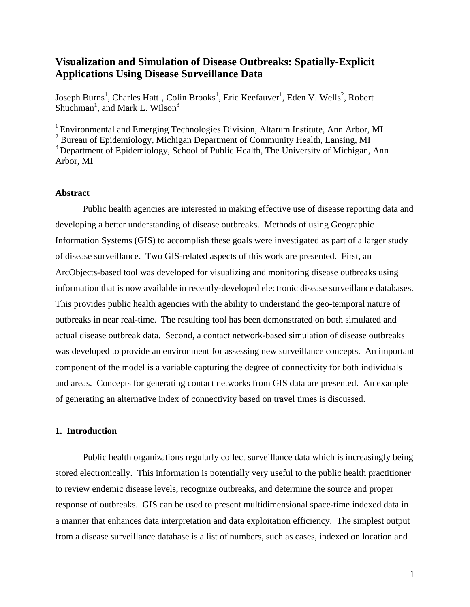# **Visualization and Simulation of Disease Outbreaks: Spatially-Explicit Applications Using Disease Surveillance Data**

Joseph Burns<sup>1</sup>, Charles Hatt<sup>1</sup>, Colin Brooks<sup>1</sup>, Eric Keefauver<sup>1</sup>, Eden V. Wells<sup>2</sup>, Robert Shuchman<sup>1</sup>, and Mark L. Wilson<sup>3</sup>

<sup>1</sup> Environmental and Emerging Technologies Division, Altarum Institute, Ann Arbor, MI <sup>2</sup> Bureau of Epidemiology, Michigan Department of Community Health, Lansing, MI <sup>3</sup> Department of Epidemiology, School of Public Health, The University of Michigan, Ann Arbor, MI

### **Abstract**

Public health agencies are interested in making effective use of disease reporting data and developing a better understanding of disease outbreaks. Methods of using Geographic Information Systems (GIS) to accomplish these goals were investigated as part of a larger study of disease surveillance. Two GIS-related aspects of this work are presented. First, an ArcObjects-based tool was developed for visualizing and monitoring disease outbreaks using information that is now available in recently-developed electronic disease surveillance databases. This provides public health agencies with the ability to understand the geo-temporal nature of outbreaks in near real-time. The resulting tool has been demonstrated on both simulated and actual disease outbreak data. Second, a contact network-based simulation of disease outbreaks was developed to provide an environment for assessing new surveillance concepts. An important component of the model is a variable capturing the degree of connectivity for both individuals and areas. Concepts for generating contact networks from GIS data are presented. An example of generating an alternative index of connectivity based on travel times is discussed.

### **1. Introduction**

Public health organizations regularly collect surveillance data which is increasingly being stored electronically. This information is potentially very useful to the public health practitioner to review endemic disease levels, recognize outbreaks, and determine the source and proper response of outbreaks. GIS can be used to present multidimensional space-time indexed data in a manner that enhances data interpretation and data exploitation efficiency. The simplest output from a disease surveillance database is a list of numbers, such as cases, indexed on location and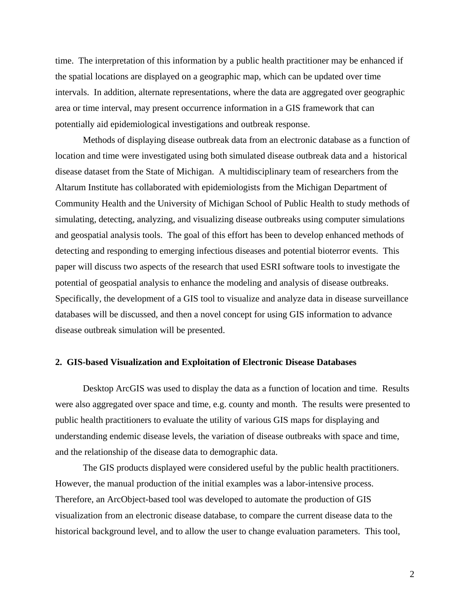time. The interpretation of this information by a public health practitioner may be enhanced if the spatial locations are displayed on a geographic map, which can be updated over time intervals. In addition, alternate representations, where the data are aggregated over geographic area or time interval, may present occurrence information in a GIS framework that can potentially aid epidemiological investigations and outbreak response.

Methods of displaying disease outbreak data from an electronic database as a function of location and time were investigated using both simulated disease outbreak data and a historical disease dataset from the State of Michigan. A multidisciplinary team of researchers from the Altarum Institute has collaborated with epidemiologists from the Michigan Department of Community Health and the University of Michigan School of Public Health to study methods of simulating, detecting, analyzing, and visualizing disease outbreaks using computer simulations and geospatial analysis tools. The goal of this effort has been to develop enhanced methods of detecting and responding to emerging infectious diseases and potential bioterror events. This paper will discuss two aspects of the research that used ESRI software tools to investigate the potential of geospatial analysis to enhance the modeling and analysis of disease outbreaks. Specifically, the development of a GIS tool to visualize and analyze data in disease surveillance databases will be discussed, and then a novel concept for using GIS information to advance disease outbreak simulation will be presented.

### **2. GIS-based Visualization and Exploitation of Electronic Disease Databases**

Desktop ArcGIS was used to display the data as a function of location and time. Results were also aggregated over space and time, e.g. county and month. The results were presented to public health practitioners to evaluate the utility of various GIS maps for displaying and understanding endemic disease levels, the variation of disease outbreaks with space and time, and the relationship of the disease data to demographic data.

The GIS products displayed were considered useful by the public health practitioners. However, the manual production of the initial examples was a labor-intensive process. Therefore, an ArcObject-based tool was developed to automate the production of GIS visualization from an electronic disease database, to compare the current disease data to the historical background level, and to allow the user to change evaluation parameters. This tool,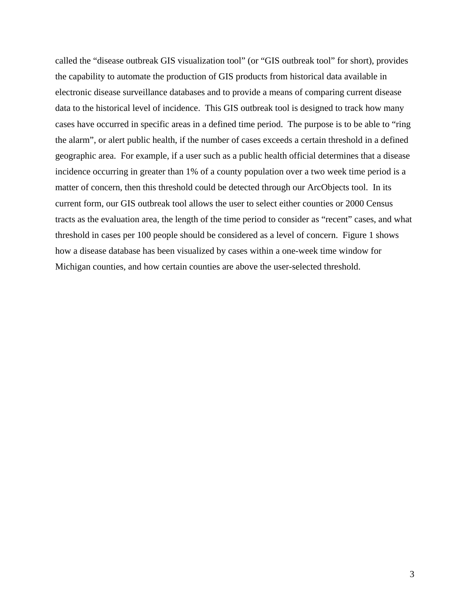called the "disease outbreak GIS visualization tool" (or "GIS outbreak tool" for short), provides the capability to automate the production of GIS products from historical data available in electronic disease surveillance databases and to provide a means of comparing current disease data to the historical level of incidence. This GIS outbreak tool is designed to track how many cases have occurred in specific areas in a defined time period. The purpose is to be able to "ring the alarm", or alert public health, if the number of cases exceeds a certain threshold in a defined geographic area. For example, if a user such as a public health official determines that a disease incidence occurring in greater than 1% of a county population over a two week time period is a matter of concern, then this threshold could be detected through our ArcObjects tool. In its current form, our GIS outbreak tool allows the user to select either counties or 2000 Census tracts as the evaluation area, the length of the time period to consider as "recent" cases, and what threshold in cases per 100 people should be considered as a level of concern. Figure 1 shows how a disease database has been visualized by cases within a one-week time window for Michigan counties, and how certain counties are above the user-selected threshold.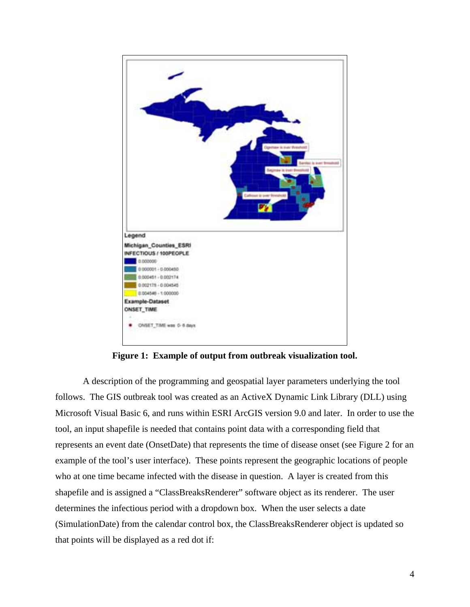

**Figure 1: Example of output from outbreak visualization tool.** 

A description of the programming and geospatial layer parameters underlying the tool follows. The GIS outbreak tool was created as an ActiveX Dynamic Link Library (DLL) using Microsoft Visual Basic 6, and runs within ESRI ArcGIS version 9.0 and later. In order to use the tool, an input shapefile is needed that contains point data with a corresponding field that represents an event date (OnsetDate) that represents the time of disease onset (see Figure 2 for an example of the tool's user interface). These points represent the geographic locations of people who at one time became infected with the disease in question. A layer is created from this shapefile and is assigned a "ClassBreaksRenderer" software object as its renderer. The user determines the infectious period with a dropdown box. When the user selects a date (SimulationDate) from the calendar control box, the ClassBreaksRenderer object is updated so that points will be displayed as a red dot if: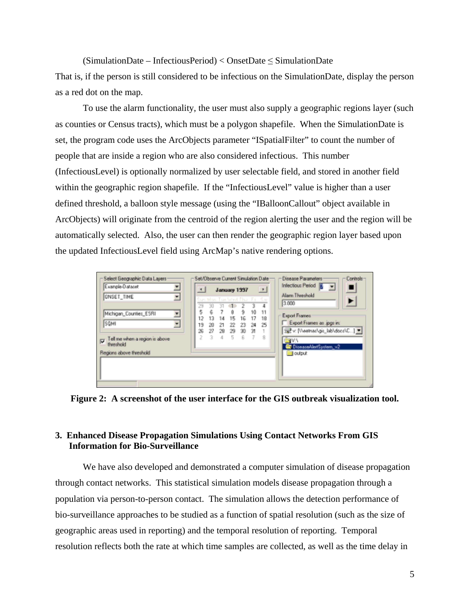$(SimulationDate - InfectiousPeriod) < OnsetDate \le SimulationDate$ That is, if the person is still considered to be infectious on the SimulationDate, display the person as a red dot on the map.

 To use the alarm functionality, the user must also supply a geographic regions layer (such as counties or Census tracts), which must be a polygon shapefile. When the SimulationDate is set, the program code uses the ArcObjects parameter "ISpatialFilter" to count the number of people that are inside a region who are also considered infectious. This number (InfectiousLevel) is optionally normalized by user selectable field, and stored in another field within the geographic region shapefile. If the "InfectiousLevel" value is higher than a user defined threshold, a balloon style message (using the "IBalloonCallout" object available in ArcObjects) will originate from the centroid of the region alerting the user and the region will be automatically selected. Also, the user can then render the geographic region layer based upon the updated InfectiousLevel field using ArcMap's native rendering options.

| Select Geographic Data Layers:<br>Example-Dataset<br>໋                                                                                                                 | Set/Observe Current Simulation Date<br>Disease Parameters<br>Controls-<br>Infectious Period &<br>$\overline{\phantom{a}}$<br>$\vert \cdot \vert$<br>$\mathbf{F}$<br>January 1997                                                                                                                                                                                                         |
|------------------------------------------------------------------------------------------------------------------------------------------------------------------------|------------------------------------------------------------------------------------------------------------------------------------------------------------------------------------------------------------------------------------------------------------------------------------------------------------------------------------------------------------------------------------------|
| <b>ONSET TIME</b><br>회<br>Michigan_Counties_ESRII<br>$\pmb{\mathrm{v}}$<br>SQMI<br>$\overline{\phantom{a}}$<br>Tell me when a region is above<br>☞<br><b>thomshold</b> | Alam Threshold<br>Sun Man Tue Wed Thai Fili<br>Sac<br>1000<br>29<br>30<br>5<br>ε<br>8<br>э<br>10<br>11<br>Export Frames<br>12<br>15<br>16<br>13<br>17<br>14<br>18<br>Export Frames as .jpgs in:<br>25<br>19<br>23<br>24<br>22<br>20<br>21<br>로 v: [Veetnarigic_labidocs\C] 보<br>26<br>27<br>28<br>30<br>31<br>29<br>2<br>5<br>3.<br>8<br>6<br>4<br>- 7<br>E V Y<br>DiseaseAlertSystem_v2 |
| Regions above threshold                                                                                                                                                | <b>D</b> output                                                                                                                                                                                                                                                                                                                                                                          |

**Figure 2: A screenshot of the user interface for the GIS outbreak visualization tool.** 

# **3. Enhanced Disease Propagation Simulations Using Contact Networks From GIS Information for Bio-Surveillance**

We have also developed and demonstrated a computer simulation of disease propagation through contact networks. This statistical simulation models disease propagation through a population via person-to-person contact. The simulation allows the detection performance of bio-surveillance approaches to be studied as a function of spatial resolution (such as the size of geographic areas used in reporting) and the temporal resolution of reporting. Temporal resolution reflects both the rate at which time samples are collected, as well as the time delay in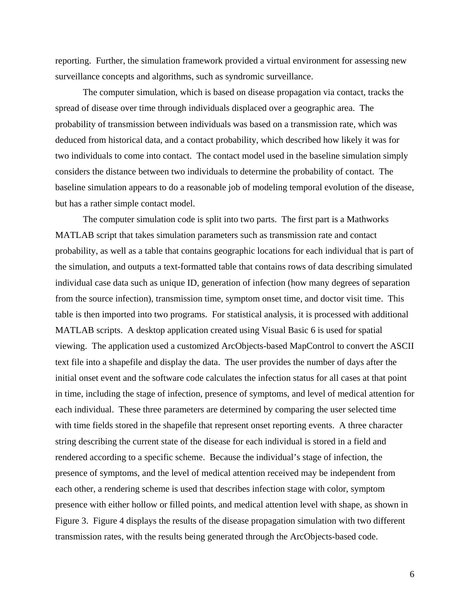reporting. Further, the simulation framework provided a virtual environment for assessing new surveillance concepts and algorithms, such as syndromic surveillance.

The computer simulation, which is based on disease propagation via contact, tracks the spread of disease over time through individuals displaced over a geographic area. The probability of transmission between individuals was based on a transmission rate, which was deduced from historical data, and a contact probability, which described how likely it was for two individuals to come into contact. The contact model used in the baseline simulation simply considers the distance between two individuals to determine the probability of contact. The baseline simulation appears to do a reasonable job of modeling temporal evolution of the disease, but has a rather simple contact model.

The computer simulation code is split into two parts. The first part is a Mathworks MATLAB script that takes simulation parameters such as transmission rate and contact probability, as well as a table that contains geographic locations for each individual that is part of the simulation, and outputs a text-formatted table that contains rows of data describing simulated individual case data such as unique ID, generation of infection (how many degrees of separation from the source infection), transmission time, symptom onset time, and doctor visit time. This table is then imported into two programs. For statistical analysis, it is processed with additional MATLAB scripts. A desktop application created using Visual Basic 6 is used for spatial viewing. The application used a customized ArcObjects-based MapControl to convert the ASCII text file into a shapefile and display the data. The user provides the number of days after the initial onset event and the software code calculates the infection status for all cases at that point in time, including the stage of infection, presence of symptoms, and level of medical attention for each individual. These three parameters are determined by comparing the user selected time with time fields stored in the shapefile that represent onset reporting events. A three character string describing the current state of the disease for each individual is stored in a field and rendered according to a specific scheme. Because the individual's stage of infection, the presence of symptoms, and the level of medical attention received may be independent from each other, a rendering scheme is used that describes infection stage with color, symptom presence with either hollow or filled points, and medical attention level with shape, as shown in Figure 3. Figure 4 displays the results of the disease propagation simulation with two different transmission rates, with the results being generated through the ArcObjects-based code.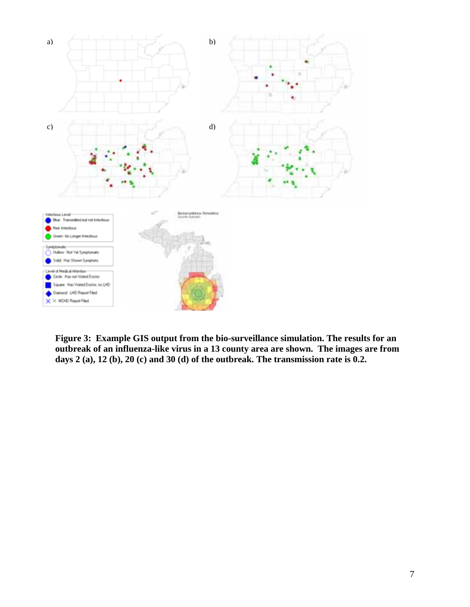

**Figure 3: Example GIS output from the bio-surveillance simulation. The results for an outbreak of an influenza-like virus in a 13 county area are shown. The images are from days 2 (a), 12 (b), 20 (c) and 30 (d) of the outbreak. The transmission rate is 0.2.**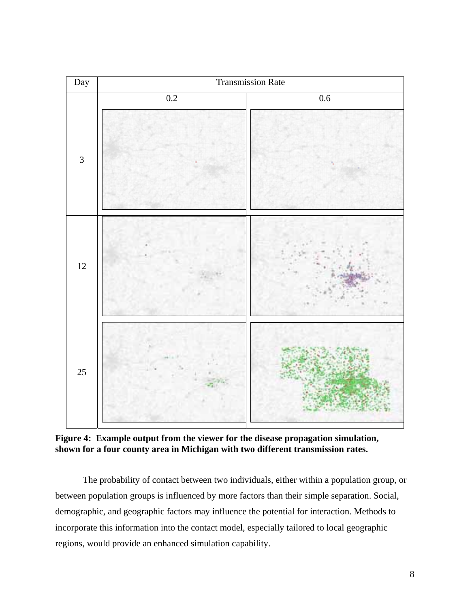

**Figure 4: Example output from the viewer for the disease propagation simulation, shown for a four county area in Michigan with two different transmission rates.** 

The probability of contact between two individuals, either within a population group, or between population groups is influenced by more factors than their simple separation. Social, demographic, and geographic factors may influence the potential for interaction. Methods to incorporate this information into the contact model, especially tailored to local geographic regions, would provide an enhanced simulation capability.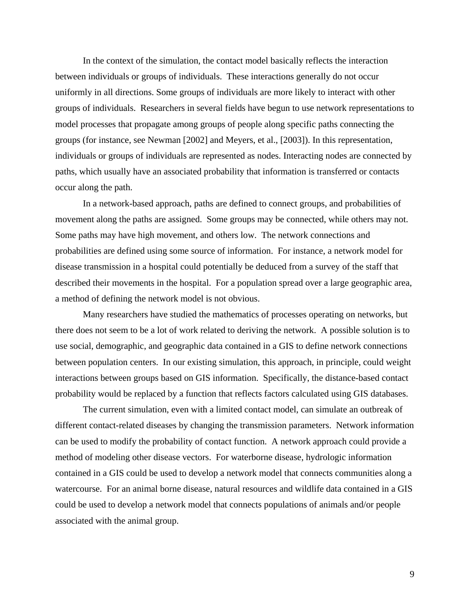In the context of the simulation, the contact model basically reflects the interaction between individuals or groups of individuals. These interactions generally do not occur uniformly in all directions. Some groups of individuals are more likely to interact with other groups of individuals. Researchers in several fields have begun to use network representations to model processes that propagate among groups of people along specific paths connecting the groups (for instance, see Newman [2002] and Meyers, et al., [2003]). In this representation, individuals or groups of individuals are represented as nodes. Interacting nodes are connected by paths, which usually have an associated probability that information is transferred or contacts occur along the path.

In a network-based approach, paths are defined to connect groups, and probabilities of movement along the paths are assigned. Some groups may be connected, while others may not. Some paths may have high movement, and others low. The network connections and probabilities are defined using some source of information. For instance, a network model for disease transmission in a hospital could potentially be deduced from a survey of the staff that described their movements in the hospital. For a population spread over a large geographic area, a method of defining the network model is not obvious.

Many researchers have studied the mathematics of processes operating on networks, but there does not seem to be a lot of work related to deriving the network. A possible solution is to use social, demographic, and geographic data contained in a GIS to define network connections between population centers. In our existing simulation, this approach, in principle, could weight interactions between groups based on GIS information. Specifically, the distance-based contact probability would be replaced by a function that reflects factors calculated using GIS databases.

The current simulation, even with a limited contact model, can simulate an outbreak of different contact-related diseases by changing the transmission parameters. Network information can be used to modify the probability of contact function. A network approach could provide a method of modeling other disease vectors. For waterborne disease, hydrologic information contained in a GIS could be used to develop a network model that connects communities along a watercourse. For an animal borne disease, natural resources and wildlife data contained in a GIS could be used to develop a network model that connects populations of animals and/or people associated with the animal group.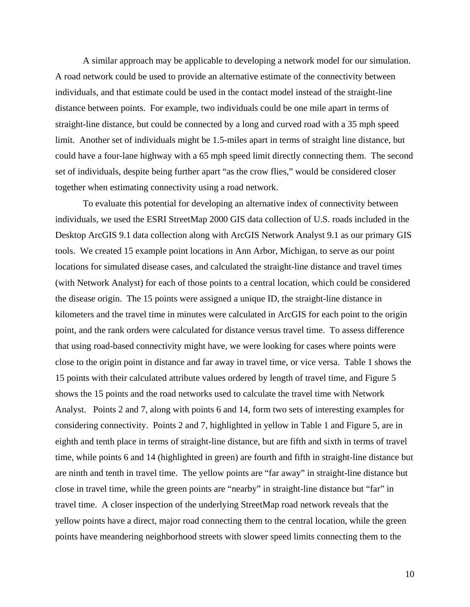A similar approach may be applicable to developing a network model for our simulation. A road network could be used to provide an alternative estimate of the connectivity between individuals, and that estimate could be used in the contact model instead of the straight-line distance between points. For example, two individuals could be one mile apart in terms of straight-line distance, but could be connected by a long and curved road with a 35 mph speed limit. Another set of individuals might be 1.5-miles apart in terms of straight line distance, but could have a four-lane highway with a 65 mph speed limit directly connecting them. The second set of individuals, despite being further apart "as the crow flies," would be considered closer together when estimating connectivity using a road network.

To evaluate this potential for developing an alternative index of connectivity between individuals, we used the ESRI StreetMap 2000 GIS data collection of U.S. roads included in the Desktop ArcGIS 9.1 data collection along with ArcGIS Network Analyst 9.1 as our primary GIS tools. We created 15 example point locations in Ann Arbor, Michigan, to serve as our point locations for simulated disease cases, and calculated the straight-line distance and travel times (with Network Analyst) for each of those points to a central location, which could be considered the disease origin. The 15 points were assigned a unique ID, the straight-line distance in kilometers and the travel time in minutes were calculated in ArcGIS for each point to the origin point, and the rank orders were calculated for distance versus travel time. To assess difference that using road-based connectivity might have, we were looking for cases where points were close to the origin point in distance and far away in travel time, or vice versa. Table 1 shows the 15 points with their calculated attribute values ordered by length of travel time, and Figure 5 shows the 15 points and the road networks used to calculate the travel time with Network Analyst. Points 2 and 7, along with points 6 and 14, form two sets of interesting examples for considering connectivity. Points 2 and 7, highlighted in yellow in Table 1 and Figure 5, are in eighth and tenth place in terms of straight-line distance, but are fifth and sixth in terms of travel time, while points 6 and 14 (highlighted in green) are fourth and fifth in straight-line distance but are ninth and tenth in travel time. The yellow points are "far away" in straight-line distance but close in travel time, while the green points are "nearby" in straight-line distance but "far" in travel time. A closer inspection of the underlying StreetMap road network reveals that the yellow points have a direct, major road connecting them to the central location, while the green points have meandering neighborhood streets with slower speed limits connecting them to the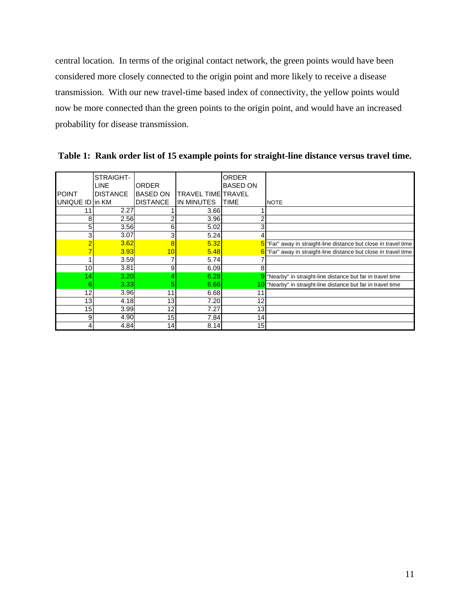central location. In terms of the original contact network, the green points would have been considered more closely connected to the origin point and more likely to receive a disease transmission. With our new travel-time based index of connectivity, the yellow points would now be more connected than the green points to the origin point, and would have an increased probability for disease transmission.

|                 | STRAIGHT-       |                 |                           | <b>ORDER</b>    |                                                                             |
|-----------------|-----------------|-----------------|---------------------------|-----------------|-----------------------------------------------------------------------------|
|                 | LINE            | <b>ORDER</b>    |                           | <b>BASED ON</b> |                                                                             |
| <b>POINT</b>    | <b>DISTANCE</b> | <b>BASED ON</b> | <b>TRAVEL TIME TRAVEL</b> |                 |                                                                             |
| UNIQUE ID in KM |                 | <b>DISTANCE</b> | IN MINUTES                | <b>ITIME</b>    | <b>NOTE</b>                                                                 |
|                 | 2.27            |                 | 3.66                      |                 |                                                                             |
| 8               | 2.56            |                 | 3.96                      |                 |                                                                             |
| 5               | 3.56            | 6               | 5.02                      |                 |                                                                             |
| 3               | 3.07            | 3               | 5.24                      |                 |                                                                             |
|                 | 3.62            | 8               | 5.32                      | 51              | "Far" away in straight-line distance but close in travel time               |
|                 | 3.93            | 10              | 5.48                      |                 | 6 <sup>T</sup> Far" away in straight-line distance but close in travel time |
|                 | 3.59            | 7               | 5.74                      |                 |                                                                             |
| 10              | 3.81            | 9               | 6.09                      | 8               |                                                                             |
| 14              | 3.20            | 4               | 6.28                      |                 | "Nearby" in straight-line distance but far in travel time                   |
| 6               | 3.33            | 5               | 6.66                      |                 | "Nearby" in straight-line distance but far in travel time                   |
| 12              | 3.96            | 11              | 6.68                      | 11              |                                                                             |
| 13              | 4.18            | 13              | 7.20                      | 12              |                                                                             |
| 15              | 3.99            | 12              | 7.27                      | 13              |                                                                             |
| 9               | 4.90            | 15              | 7.84                      | 14              |                                                                             |
|                 | 4.84            | 14              | 8.14                      | 15              |                                                                             |

**Table 1: Rank order list of 15 example points for straight-line distance versus travel time.**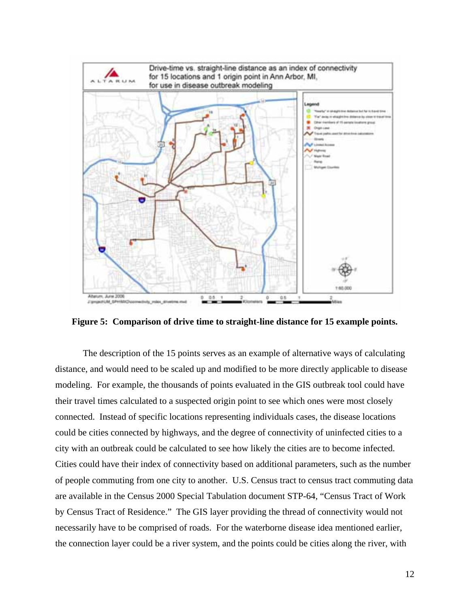

**Figure 5: Comparison of drive time to straight-line distance for 15 example points.** 

The description of the 15 points serves as an example of alternative ways of calculating distance, and would need to be scaled up and modified to be more directly applicable to disease modeling. For example, the thousands of points evaluated in the GIS outbreak tool could have their travel times calculated to a suspected origin point to see which ones were most closely connected. Instead of specific locations representing individuals cases, the disease locations could be cities connected by highways, and the degree of connectivity of uninfected cities to a city with an outbreak could be calculated to see how likely the cities are to become infected. Cities could have their index of connectivity based on additional parameters, such as the number of people commuting from one city to another. U.S. Census tract to census tract commuting data are available in the Census 2000 Special Tabulation document STP-64, "Census Tract of Work by Census Tract of Residence." The GIS layer providing the thread of connectivity would not necessarily have to be comprised of roads. For the waterborne disease idea mentioned earlier, the connection layer could be a river system, and the points could be cities along the river, with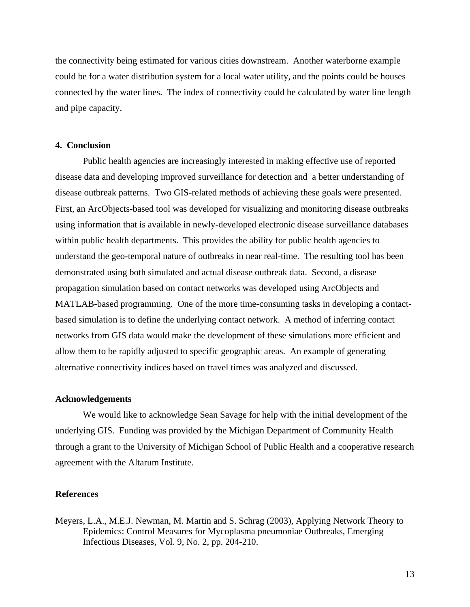the connectivity being estimated for various cities downstream. Another waterborne example could be for a water distribution system for a local water utility, and the points could be houses connected by the water lines. The index of connectivity could be calculated by water line length and pipe capacity.

### **4. Conclusion**

Public health agencies are increasingly interested in making effective use of reported disease data and developing improved surveillance for detection and a better understanding of disease outbreak patterns. Two GIS-related methods of achieving these goals were presented. First, an ArcObjects-based tool was developed for visualizing and monitoring disease outbreaks using information that is available in newly-developed electronic disease surveillance databases within public health departments. This provides the ability for public health agencies to understand the geo-temporal nature of outbreaks in near real-time. The resulting tool has been demonstrated using both simulated and actual disease outbreak data. Second, a disease propagation simulation based on contact networks was developed using ArcObjects and MATLAB-based programming. One of the more time-consuming tasks in developing a contactbased simulation is to define the underlying contact network. A method of inferring contact networks from GIS data would make the development of these simulations more efficient and allow them to be rapidly adjusted to specific geographic areas. An example of generating alternative connectivity indices based on travel times was analyzed and discussed.

### **Acknowledgements**

We would like to acknowledge Sean Savage for help with the initial development of the underlying GIS. Funding was provided by the Michigan Department of Community Health through a grant to the University of Michigan School of Public Health and a cooperative research agreement with the Altarum Institute.

#### **References**

Meyers, L.A., M.E.J. Newman, M. Martin and S. Schrag (2003), Applying Network Theory to Epidemics: Control Measures for Mycoplasma pneumoniae Outbreaks, Emerging Infectious Diseases, Vol. 9, No. 2, pp. 204-210.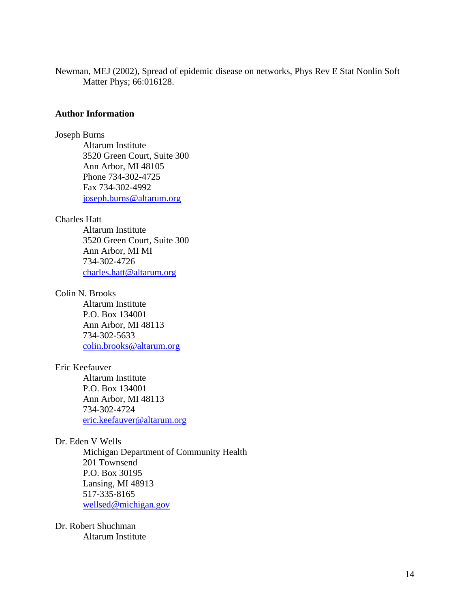Newman, MEJ (2002), Spread of epidemic disease on networks, Phys Rev E Stat Nonlin Soft Matter Phys; 66:016128.

### **Author Information**

#### Joseph Burns

Altarum Institute 3520 Green Court, Suite 300 Ann Arbor, MI 48105 Phone 734-302-4725 Fax 734-302-4992 joseph.burns@altarum.org

### Charles Hatt

Altarum Institute 3520 Green Court, Suite 300 Ann Arbor, MI MI 734-302-4726 charles.hatt@altarum.org

### Colin N. Brooks

Altarum Institute P.O. Box 134001 Ann Arbor, MI 48113 734-302-5633 colin.brooks@altarum.org

### Eric Keefauver

Altarum Institute P.O. Box 134001 Ann Arbor, MI 48113 734-302-4724 eric.keefauver@altarum.org

#### Dr. Eden V Wells

Michigan Department of Community Health 201 Townsend P.O. Box 30195 Lansing, MI 48913 517-335-8165 wellsed@michigan.gov

# Dr. Robert Shuchman Altarum Institute